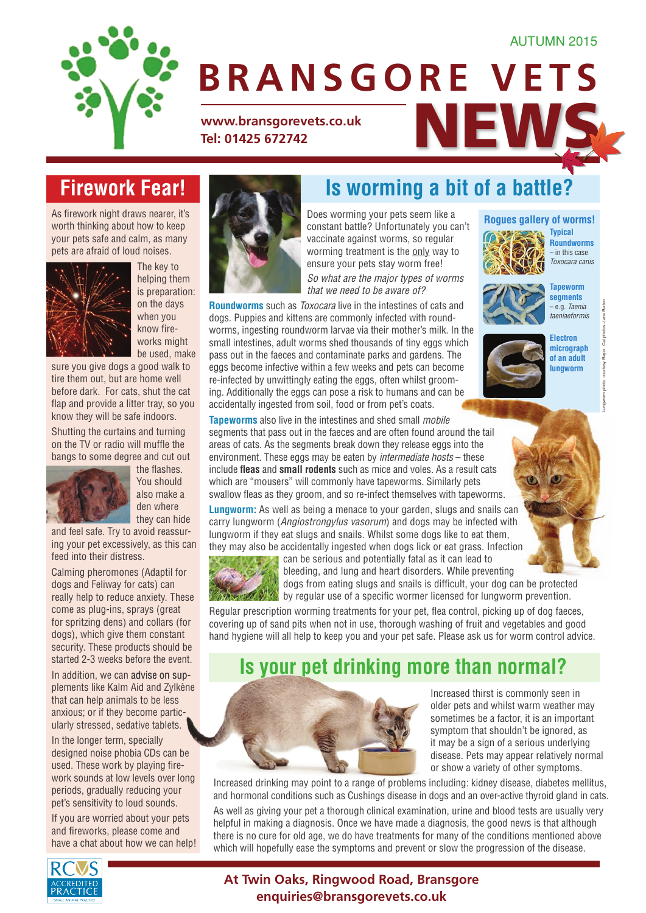#### AUTUMN 2015



# **BRANSGORE VETS**

**Is worming a bit of a battle?**

WWW.bransgorevets.co.uk<br>Tel: 01425 672742 **Tel: 01425 672742**

## **Firework Fear!**

As firework night draws nearer, it's worth thinking about how to keep your pets safe and calm, as many pets are afraid of loud noises.



The key to helping them is preparation: on the days when you know fireworks might be used, make

sure you give dogs a good walk to tire them out, but are home well before dark. For cats, shut the cat flap and provide a litter tray, so you know they will be safe indoors.

Shutting the curtains and turning on the TV or radio will muffle the bangs to some degree and cut out



the flashes. You should also make a den where they can hide

and feel safe. Try to avoid reassuring your pet excessively, as this can feed into their distress.

Calming pheromones (Adaptil for dogs and Feliway for cats) can really help to reduce anxiety. These come as plug-ins, sprays (great for spritzing dens) and collars (for dogs), which give them constant security. These products should be started 2-3 weeks before the event.

In addition, we can advise on supplements like Kalm Aid and Zylkène that can help animals to be less anxious; or if they become particularly stressed, sedative tablets.

In the longer term, specially designed noise phobia CDs can be used. These work by playing firework sounds at low levels over long periods, gradually reducing your pet's sensitivity to loud sounds.

If you are worried about your pets and fireworks, please come and have a chat about how we can help!



Does worming your pets seem like a constant battle? Unfortunately you can't vaccinate against worms, so regular worming treatment is the only way to ensure your pets stay worm free! *So what are the major types of worms that we need to be aware of?*

**Roundworms** such as *Toxocara* live in the intestines of cats and dogs. Puppies and kittens are commonly infected with roundworms, ingesting roundworm larvae via their mother's milk. In the small intestines, adult worms shed thousands of tiny eggs which pass out in the faeces and contaminate parks and gardens. The eggs become infective within a few weeks and pets can become re-infected by unwittingly eating the eggs, often whilst grooming. Additionally the eggs can pose a risk to humans and can be accidentally ingested from soil, food or from pet's coats.

#### **Rogues gallery of worms!**

**Typical Roundworms** – in this case *Toxocara canis*



**Tapeworm segments**  – e.g. *Taenia taeniaeformis*



Lungworm photo: courtesy Bayer. Cat photos: Jane Burton.

**Tapeworms** also live in the intestines and shed small *mobile* segments that pass out in the faeces and are often found around the tail areas of cats. As the segments break down they release eggs into the environment. These eggs may be eaten by *intermediate hosts* – these include **fleas** and **small rodents** such as mice and voles. As a result cats which are "mousers" will commonly have tapeworms. Similarly pets swallow fleas as they groom, and so re-infect themselves with tapeworms.

**Lungworm:** As well as being a menace to your garden, slugs and snails can carry lungworm (*Angiostrongylus vasorum*) and dogs may be infected with lungworm if they eat slugs and snails. Whilst some dogs like to eat them, they may also be accidentally ingested when dogs lick or eat grass. Infection



can be serious and potentially fatal as it can lead to bleeding, and lung and heart disorders. While preventing dogs from eating slugs and snails is difficult, your dog can be protected by regular use of a specific wormer licensed for lungworm prevention.

Regular prescription worming treatments for your pet, flea control, picking up of dog faeces, covering up of sand pits when not in use, thorough washing of fruit and vegetables and good hand hygiene will all help to keep you and your pet safe. Please ask us for worm control advice.

### **Is your pet drinking more than normal?**



Increased thirst is commonly seen in older pets and whilst warm weather may sometimes be a factor, it is an important symptom that shouldn't be ignored, as it may be a sign of a serious underlying disease. Pets may appear relatively normal or show a variety of other symptoms.

Increased drinking may point to a range of problems including: kidney disease, diabetes mellitus, and hormonal conditions such as Cushings disease in dogs and an over-active thyroid gland in cats.

As well as giving your pet a thorough clinical examination, urine and blood tests are usually very helpful in making a diagnosis. Once we have made a diagnosis, the good news is that although there is no cure for old age, we do have treatments for many of the conditions mentioned above which will hopefully ease the symptoms and prevent or slow the progression of the disease.



#### **At Twin Oaks, Ringwood Road, Bransgore enquiries@bransgorevets.co.uk**